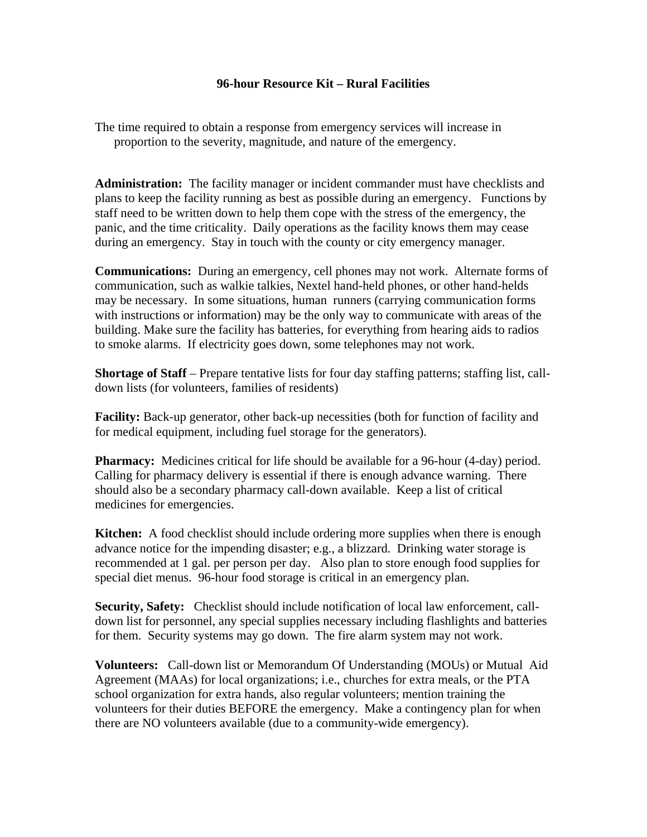# **96-hour Resource Kit – Rural Facilities**

The time required to obtain a response from emergency services will increase in proportion to the severity, magnitude, and nature of the emergency.

**Administration:** The facility manager or incident commander must have checklists and plans to keep the facility running as best as possible during an emergency. Functions by staff need to be written down to help them cope with the stress of the emergency, the panic, and the time criticality. Daily operations as the facility knows them may cease during an emergency. Stay in touch with the county or city emergency manager.

**Communications:** During an emergency, cell phones may not work. Alternate forms of communication, such as walkie talkies, Nextel hand-held phones, or other hand-helds may be necessary. In some situations, human runners (carrying communication forms with instructions or information) may be the only way to communicate with areas of the building. Make sure the facility has batteries, for everything from hearing aids to radios to smoke alarms. If electricity goes down, some telephones may not work.

**Shortage of Staff** – Prepare tentative lists for four day staffing patterns; staffing list, calldown lists (for volunteers, families of residents)

**Facility:** Back-up generator, other back-up necessities (both for function of facility and for medical equipment, including fuel storage for the generators).

**Pharmacy:** Medicines critical for life should be available for a 96-hour (4-day) period. Calling for pharmacy delivery is essential if there is enough advance warning. There should also be a secondary pharmacy call-down available. Keep a list of critical medicines for emergencies.

**Kitchen:** A food checklist should include ordering more supplies when there is enough advance notice for the impending disaster; e.g., a blizzard. Drinking water storage is recommended at 1 gal. per person per day. Also plan to store enough food supplies for special diet menus. 96-hour food storage is critical in an emergency plan.

**Security, Safety:** Checklist should include notification of local law enforcement, calldown list for personnel, any special supplies necessary including flashlights and batteries for them. Security systems may go down. The fire alarm system may not work.

**Volunteers:** Call-down list or Memorandum Of Understanding (MOUs) or Mutual Aid Agreement (MAAs) for local organizations; i.e., churches for extra meals, or the PTA school organization for extra hands, also regular volunteers; mention training the volunteers for their duties BEFORE the emergency. Make a contingency plan for when there are NO volunteers available (due to a community-wide emergency).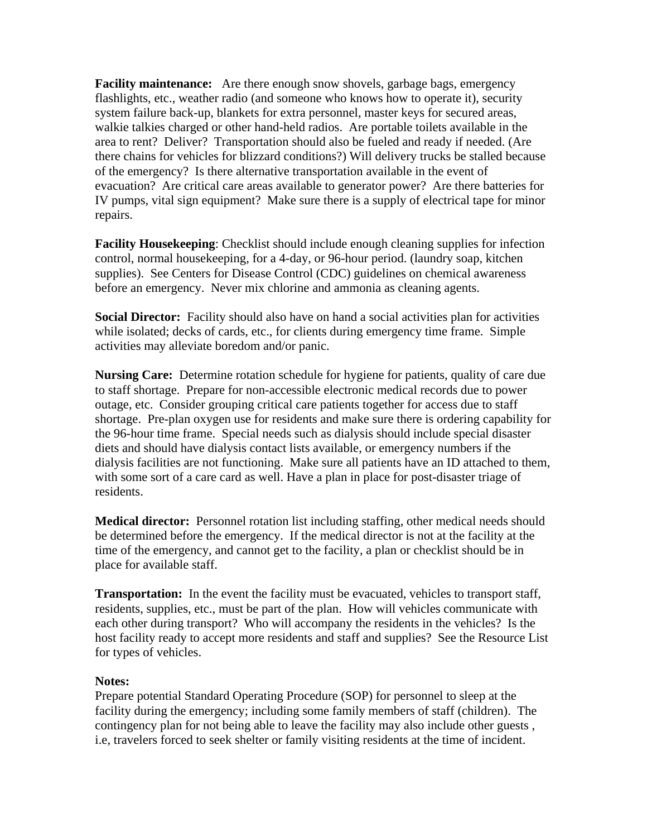**Facility maintenance:** Are there enough snow shovels, garbage bags, emergency flashlights, etc., weather radio (and someone who knows how to operate it), security system failure back-up, blankets for extra personnel, master keys for secured areas, walkie talkies charged or other hand-held radios. Are portable toilets available in the area to rent? Deliver? Transportation should also be fueled and ready if needed. (Are there chains for vehicles for blizzard conditions?) Will delivery trucks be stalled because of the emergency? Is there alternative transportation available in the event of evacuation? Are critical care areas available to generator power? Are there batteries for IV pumps, vital sign equipment? Make sure there is a supply of electrical tape for minor repairs.

**Facility Housekeeping**: Checklist should include enough cleaning supplies for infection control, normal housekeeping, for a 4-day, or 96-hour period. (laundry soap, kitchen supplies). See Centers for Disease Control (CDC) guidelines on chemical awareness before an emergency. Never mix chlorine and ammonia as cleaning agents.

**Social Director:** Facility should also have on hand a social activities plan for activities while isolated; decks of cards, etc., for clients during emergency time frame. Simple activities may alleviate boredom and/or panic.

**Nursing Care:** Determine rotation schedule for hygiene for patients, quality of care due to staff shortage. Prepare for non-accessible electronic medical records due to power outage, etc. Consider grouping critical care patients together for access due to staff shortage. Pre-plan oxygen use for residents and make sure there is ordering capability for the 96-hour time frame. Special needs such as dialysis should include special disaster diets and should have dialysis contact lists available, or emergency numbers if the dialysis facilities are not functioning. Make sure all patients have an ID attached to them, with some sort of a care card as well. Have a plan in place for post-disaster triage of residents.

**Medical director:** Personnel rotation list including staffing, other medical needs should be determined before the emergency. If the medical director is not at the facility at the time of the emergency, and cannot get to the facility, a plan or checklist should be in place for available staff.

**Transportation:** In the event the facility must be evacuated, vehicles to transport staff, residents, supplies, etc., must be part of the plan. How will vehicles communicate with each other during transport? Who will accompany the residents in the vehicles? Is the host facility ready to accept more residents and staff and supplies? See the Resource List for types of vehicles.

#### **Notes:**

Prepare potential Standard Operating Procedure (SOP) for personnel to sleep at the facility during the emergency; including some family members of staff (children). The contingency plan for not being able to leave the facility may also include other guests , i.e, travelers forced to seek shelter or family visiting residents at the time of incident.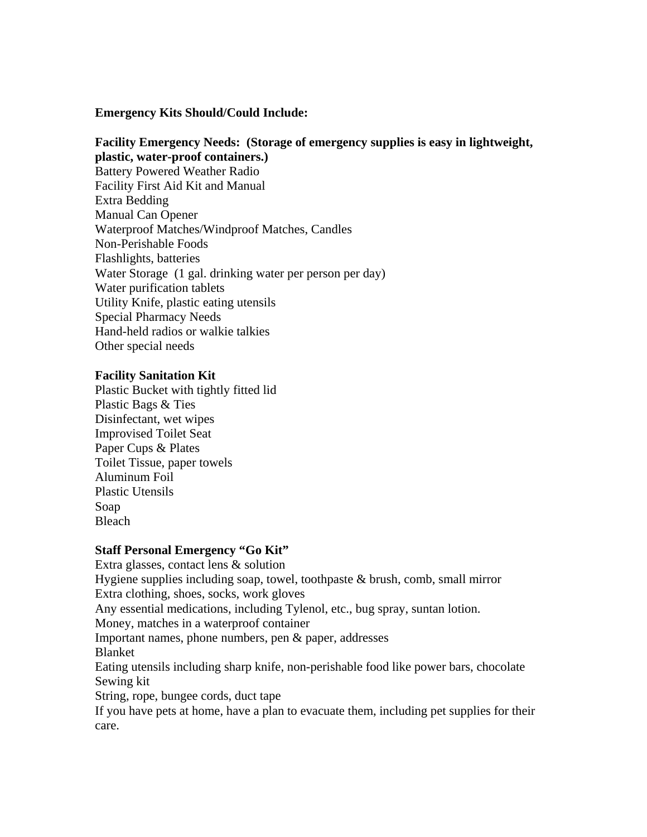**Emergency Kits Should/Could Include:** 

### **Facility Emergency Needs: (Storage of emergency supplies is easy in lightweight, plastic, water-proof containers.)**

Battery Powered Weather Radio Facility First Aid Kit and Manual Extra Bedding Manual Can Opener Waterproof Matches/Windproof Matches, Candles Non-Perishable Foods Flashlights, batteries Water Storage (1 gal. drinking water per person per day) Water purification tablets Utility Knife, plastic eating utensils Special Pharmacy Needs Hand-held radios or walkie talkies Other special needs

### **Facility Sanitation Kit**

Plastic Bucket with tightly fitted lid Plastic Bags & Ties Disinfectant, wet wipes Improvised Toilet Seat Paper Cups & Plates Toilet Tissue, paper towels Aluminum Foil Plastic Utensils Soap Bleach

# **Staff Personal Emergency "Go Kit"**

Extra glasses, contact lens & solution Hygiene supplies including soap, towel, toothpaste & brush, comb, small mirror Extra clothing, shoes, socks, work gloves Any essential medications, including Tylenol, etc., bug spray, suntan lotion. Money, matches in a waterproof container Important names, phone numbers, pen & paper, addresses Blanket Eating utensils including sharp knife, non-perishable food like power bars, chocolate Sewing kit String, rope, bungee cords, duct tape If you have pets at home, have a plan to evacuate them, including pet supplies for their care.